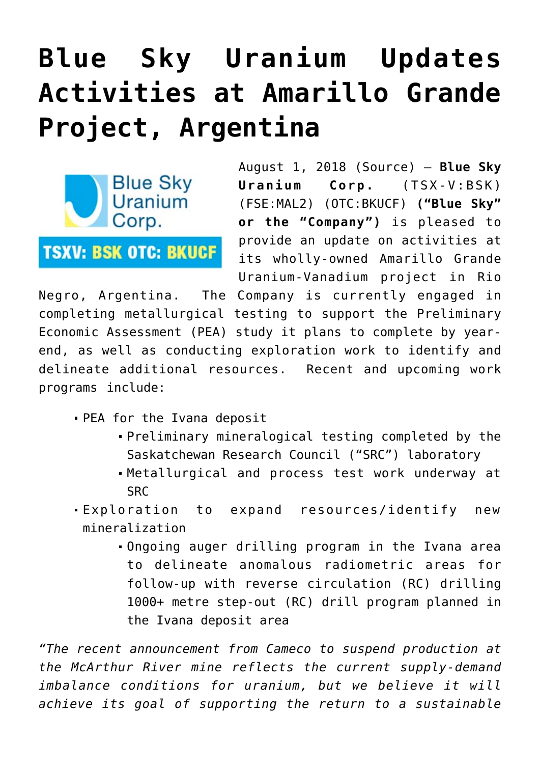# **[Blue Sky Uranium Updates](https://investorintel.com/markets/uranium-energy/uranium-energy-news/blue-sky-uranium-updates-activities-amarillo-grande-project-argentina/) [Activities at Amarillo Grande](https://investorintel.com/markets/uranium-energy/uranium-energy-news/blue-sky-uranium-updates-activities-amarillo-grande-project-argentina/) [Project, Argentina](https://investorintel.com/markets/uranium-energy/uranium-energy-news/blue-sky-uranium-updates-activities-amarillo-grande-project-argentina/)**



August 1, 2018 ([Source](https://investorintel.com/iintel-members/blue-sky-uranium-corp-2/)) — **Blue Sky Uranium Corp.** (TSX-V:[BSK\)](http://globenewswire.com/News/Listing?symbol=BSK&exchange=15) (FSE:MAL2) (OTC:BKUCF) **("Blue Sky" or the "Company")** is pleased to provide an update on activities at its wholly-owned Amarillo Grande Uranium-Vanadium project in Rio

Negro, Argentina. The Company is currently engaged in completing metallurgical testing to support the Preliminary Economic Assessment (PEA) study it plans to complete by yearend, as well as conducting exploration work to identify and delineate additional resources. Recent and upcoming work programs include:

- PEA for the Ivana deposit
	- Preliminary mineralogical testing completed by the Saskatchewan Research Council ("SRC") laboratory
	- Metallurgical and process test work underway at **SRC**
- Exploration to expand resources/identify new mineralization
	- Ongoing auger drilling program in the Ivana area to delineate anomalous radiometric areas for follow-up with reverse circulation (RC) drilling 1000+ metre step-out (RC) drill program planned in the Ivana deposit area

*"The recent announcement from Cameco to suspend production at the McArthur River mine reflects the current supply-demand imbalance conditions for uranium, but we believe it will achieve its goal of supporting the return to a sustainable*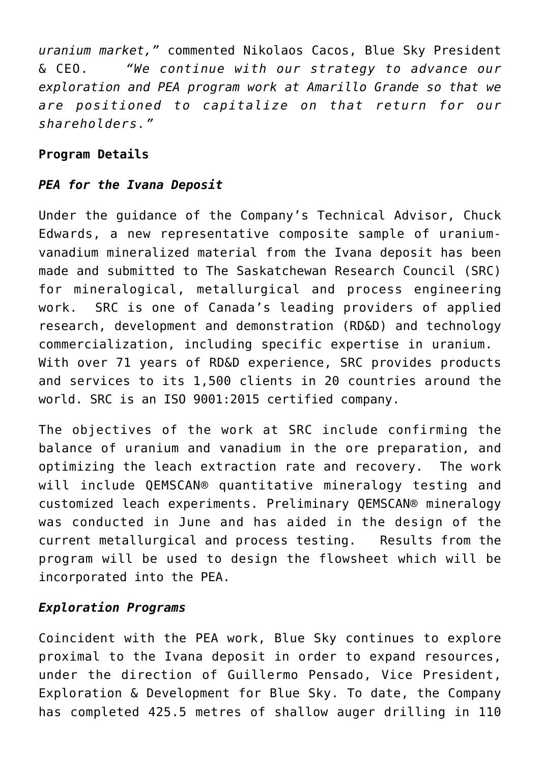*uranium market,"* commented Nikolaos Cacos, Blue Sky President & CEO. *"We continue with our strategy to advance our exploration and PEA program work at Amarillo Grande so that we are positioned to capitalize on that return for our shareholders."*

## **Program Details**

## *PEA for the Ivana Deposit*

Under the guidance of the Company's Technical Advisor, [Chuck](https://www.globenewswire.com/Tracker?data=xOC_NwpKJ279rSSB2xI2j7nK5J4vwpY2hmHREL5pCYm_vtBfteyqkkqIKF36vY280itcpI30LyVHMD7aBuP_dbO4jVjQCDYsu5WHVqMfzs6nBxXswT8EFcVTFdRLUCzsB3Y5_JIlvd0eSyuo5RJWJpQ7g4umlO5lGpwEuq74SflSO9yBleBRiY8aO02fdJM1XwmekKsakDW0DYGjZkYWRe95NxwLrv_CnDIhtY5CsLeJz5iBZmMdZBRf087aRdB3NNih_ZHdbjX5d6rOvFBvjw==) [Edwards,](https://www.globenewswire.com/Tracker?data=xOC_NwpKJ279rSSB2xI2j7nK5J4vwpY2hmHREL5pCYm_vtBfteyqkkqIKF36vY280itcpI30LyVHMD7aBuP_dbO4jVjQCDYsu5WHVqMfzs6nBxXswT8EFcVTFdRLUCzsB3Y5_JIlvd0eSyuo5RJWJpQ7g4umlO5lGpwEuq74SflSO9yBleBRiY8aO02fdJM1XwmekKsakDW0DYGjZkYWRe95NxwLrv_CnDIhtY5CsLeJz5iBZmMdZBRf087aRdB3NNih_ZHdbjX5d6rOvFBvjw==) a new representative composite sample of uraniumvanadium mineralized material from the Ivana deposit has been made and submitted to The Saskatchewan Research Council (SRC) for mineralogical, metallurgical and process engineering work. SRC is one of Canada's leading providers of applied research, development and demonstration (RD&D) and technology commercialization, including specific expertise in uranium. With over 71 years of RD&D experience, SRC provides products and services to its 1,500 clients in 20 countries around the world. SRC is an ISO 9001:2015 certified company.

The objectives of the work at SRC include confirming the balance of uranium and vanadium in the ore preparation, and optimizing the leach extraction rate and recovery. The work will include QEMSCAN® quantitative mineralogy testing and customized leach experiments. Preliminary QEMSCAN® mineralogy was conducted in June and has aided in the design of the current metallurgical and process testing. Results from the program will be used to design the flowsheet which will be incorporated into the PEA.

## *Exploration Programs*

Coincident with the PEA work, Blue Sky continues to explore proximal to the Ivana deposit in order to expand resources, under the direction of Guillermo Pensado, Vice President, Exploration & Development for Blue Sky. To date, the Company has completed 425.5 metres of shallow auger drilling in 110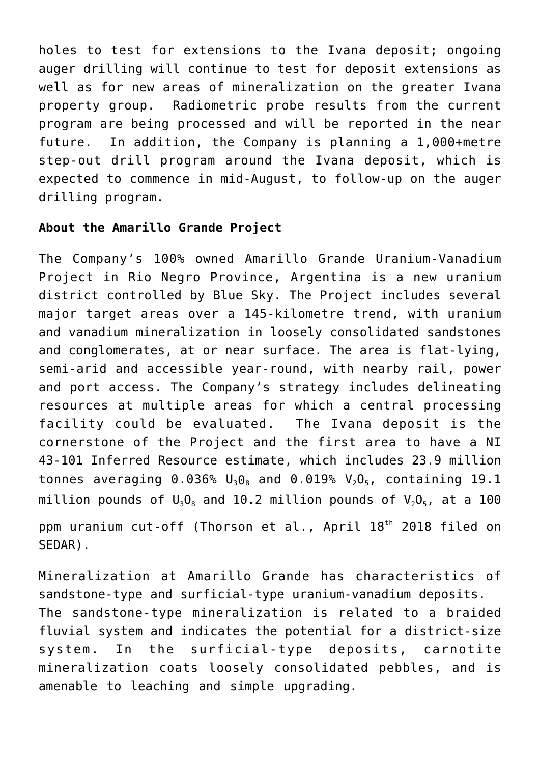holes to test for extensions to the Ivana deposit; ongoing auger drilling will continue to test for deposit extensions as well as for new areas of mineralization on the greater Ivana property group. Radiometric probe results from the current program are being processed and will be reported in the near future. In addition, the Company is planning a 1,000+metre step-out drill program around the Ivana deposit, which is expected to commence in mid-August, to follow-up on the auger drilling program.

## **About the Amarillo Grande Project**

The Company's 100% owned Amarillo Grande Uranium-Vanadium Project in Rio Negro Province, Argentina is a new uranium district controlled by Blue Sky. The Project includes several major target areas over a 145-kilometre trend, with uranium and vanadium mineralization in loosely consolidated sandstones and conglomerates, at or near surface. The area is flat-lying, semi-arid and accessible year-round, with nearby rail, power and port access. The Company's strategy includes delineating resources at multiple areas for which a central processing facility could be evaluated. The Ivana deposit is the cornerstone of the Project and the first area to have a NI 43-101 Inferred Resource estimate, which includes 23.9 million tonnes averaging 0.036%  $U_3O_8$  and 0.019%  $V_2O_5$ , containing 19.1 million pounds of  $U_3O_8$  and 10.2 million pounds of  $V_2O_5$ , at a 100

ppm uranium cut-off (Thorson et al., April 18<sup>th</sup> 2018 filed on SEDAR).

Mineralization at Amarillo Grande has characteristics of sandstone-type and surficial-type uranium-vanadium deposits. The sandstone-type mineralization is related to a braided fluvial system and indicates the potential for a district-size system. In the surficial-type deposits, carnotite mineralization coats loosely consolidated pebbles, and is amenable to leaching and simple upgrading.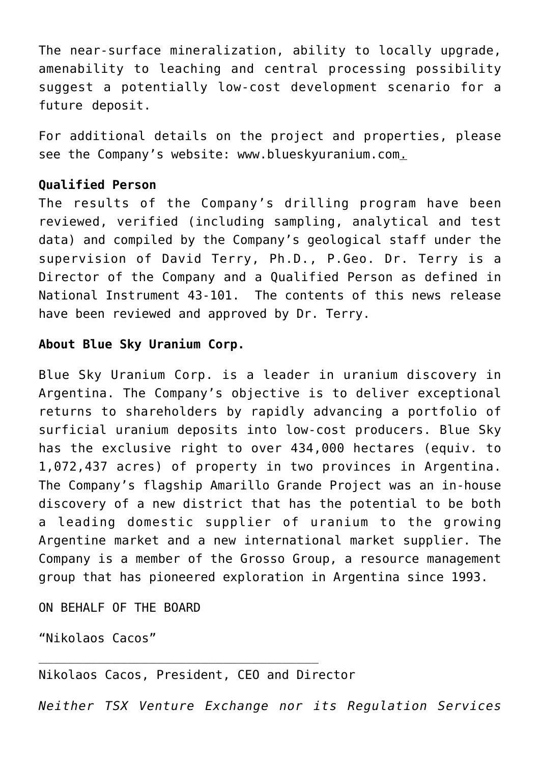The near-surface mineralization, ability to locally upgrade, amenability to leaching and central processing possibility suggest a potentially low-cost development scenario for a future deposit.

For additional details on the project and properties, please see the Company's website: [www.blueskyuranium.com.](https://www.globenewswire.com/Tracker?data=MVkhBepcNeccVFk4E7XXJaOMAyNGKG25h2aMfaJ-5L-Cd_vwRzw7e-1uQBO5ZXLenb_JAB3sRrWp5x8fzyU5-mVp5iOmObWw6QJjK1B5cdU=)

## **Qualified Person**

The results of the Company's drilling program have been reviewed, verified (including sampling, analytical and test data) and compiled by the Company's geological staff under the supervision of David Terry, Ph.D., P.Geo. Dr. Terry is a Director of the Company and a Qualified Person as defined in National Instrument 43-101. The contents of this news release have been reviewed and approved by Dr. Terry.

## **About Blue Sky Uranium Corp.**

Blue Sky Uranium Corp. is a leader in uranium discovery in Argentina. The Company's objective is to deliver exceptional returns to shareholders by rapidly advancing a portfolio of surficial uranium deposits into low-cost producers. Blue Sky has the exclusive right to over 434,000 hectares (equiv. to 1,072,437 acres) of property in two provinces in Argentina. The Company's flagship Amarillo Grande Project was an in-house discovery of a new district that has the potential to be both a leading domestic supplier of uranium to the growing Argentine market and a new international market supplier. The Company is a member of the Grosso Group, a resource management group that has pioneered exploration in Argentina since 1993.

ON BEHALF OF THE BOARD

"Nikolaos Cacos"

Nikolaos Cacos, President, CEO and Director

*Neither TSX Venture Exchange nor its Regulation Services*